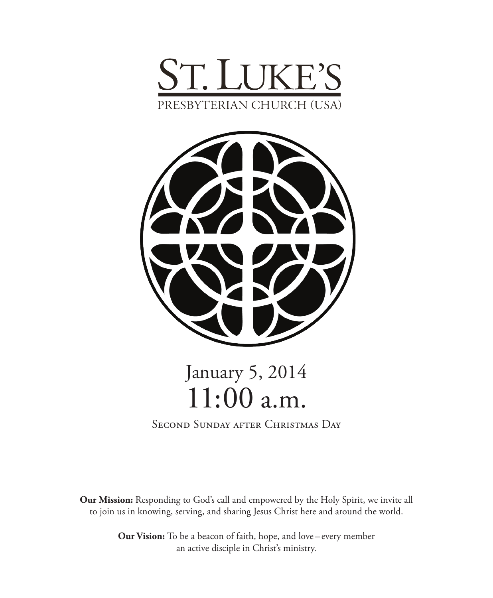



# January 5, 2014 11:00 a.m.

Second Sunday after Christmas Day

**Our Mission:** Responding to God's call and empowered by the Holy Spirit, we invite all to join us in knowing, serving, and sharing Jesus Christ here and around the world.

> **Our Vision:** To be a beacon of faith, hope, and love – every member an active disciple in Christ's ministry.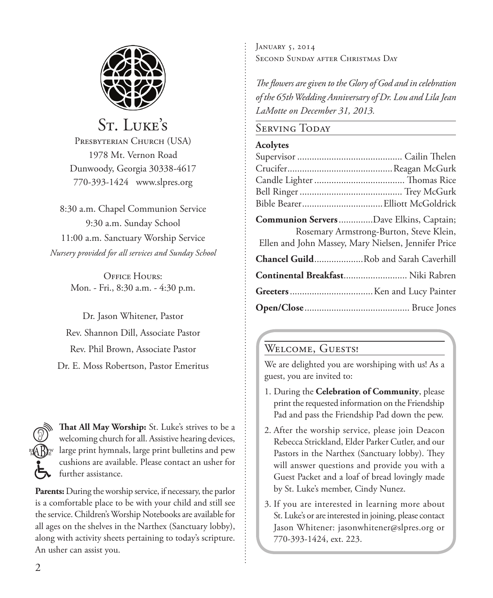

# St. Luke's

PRESBYTERIAN CHURCH (USA) 1978 Mt. Vernon Road Dunwoody, Georgia 30338-4617 770-393-1424 www.slpres.org

8:30 a.m. Chapel Communion Service 9:30 a.m. Sunday School 11:00 a.m. Sanctuary Worship Service *Nursery provided for all services and Sunday School*

> OFFICE HOURS: Mon. - Fri., 8:30 a.m. - 4:30 p.m.

Dr. Jason Whitener, Pastor Rev. Shannon Dill, Associate Pastor Rev. Phil Brown, Associate Pastor Dr. E. Moss Robertson, Pastor Emeritus

**That All May Worship:** St. Luke's strives to be a welcoming church for all. Assistive hearing devices, large print hymnals, large print bulletins and pew cushions are available. Please contact an usher for further assistance.

**Parents:** During the worship service, if necessary, the parlor is a comfortable place to be with your child and still see the service. Children's Worship Notebooks are available for all ages on the shelves in the Narthex (Sanctuary lobby), along with activity sheets pertaining to today's scripture. An usher can assist you.

January 5, 2014 Second Sunday after Christmas Day

*The flowers are given to the Glory of God and in celebration of the 65th Wedding Anniversary of Dr. Lou and Lila Jean LaMotte on December 31, 2013.*

# SERVING TODAY

## **Acolytes**

| Communion Servers Dave Elkins, Captain;             | Rosemary Armstrong-Burton, Steve Klein, |
|-----------------------------------------------------|-----------------------------------------|
| Ellen and John Massey, Mary Nielsen, Jennifer Price |                                         |
| Chancel GuildRob and Sarah Caverhill                |                                         |
| Continental Breakfast Niki Rabren                   |                                         |
|                                                     |                                         |
|                                                     |                                         |

# WELCOME, GUESTS!

We are delighted you are worshiping with us! As a guest, you are invited to:

- 1. During the **Celebration of Community**, please print the requested information on the Friendship Pad and pass the Friendship Pad down the pew.
- 2. After the worship service, please join Deacon Rebecca Strickland, Elder Parker Cutler, and our Pastors in the Narthex (Sanctuary lobby). They will answer questions and provide you with a Guest Packet and a loaf of bread lovingly made by St. Luke's member, Cindy Nunez.
- 3. If you are interested in learning more about St. Luke's or are interested in joining, please contact Jason Whitener: jasonwhitener@slpres.org or 770-393-1424, ext. 223.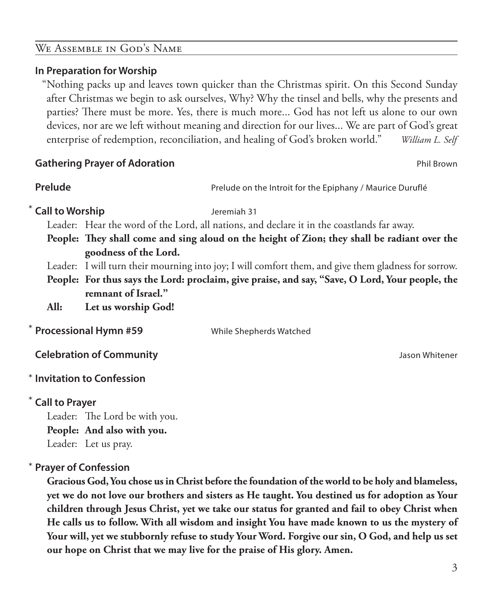# We Assemble in God's Name

# **In Preparation for Worship**

"Nothing packs up and leaves town quicker than the Christmas spirit. On this Second Sunday after Christmas we begin to ask ourselves, Why? Why the tinsel and bells, why the presents and parties? There must be more. Yes, there is much more... God has not left us alone to our own devices, nor are we left without meaning and direction for our lives... We are part of God's great enterprise of redemption, reconciliation, and healing of God's broken world." *William L. Self*

### **Gathering Prayer of Adoration Phil Brown and Contract Contract Contract Phil Brown Phil Brown**

|                                 | Prelude on the Introit for the Epiphany / Maurice Duruflé                                            |
|---------------------------------|------------------------------------------------------------------------------------------------------|
| * Call to Worship               | Jeremiah 31                                                                                          |
|                                 | Leader: Hear the word of the Lord, all nations, and declare it in the coastlands far away.           |
|                                 | People: They shall come and sing aloud on the height of Zion; they shall be radiant over the         |
| goodness of the Lord.           |                                                                                                      |
|                                 | Leader: I will turn their mourning into joy; I will comfort them, and give them gladness for sorrow. |
|                                 | People: For thus says the Lord: proclaim, give praise, and say, "Save, O Lord, Your people, the      |
| remnant of Israel."             |                                                                                                      |
| Let us worship God!             |                                                                                                      |
| * Processional Hymn #59         | While Shepherds Watched                                                                              |
| <b>Celebration of Community</b> | Jason Whitener                                                                                       |
|                                 |                                                                                                      |

# **Call to Prayer**  \*

Leader: The Lord be with you. **People: And also with you.** Leader: Let us pray.

#### **Prayer of Confession**  \*

**Invitation to Confession** \*

 **Gracious God, You chose us in Christ before the foundation of the world to be holy and blameless, yet we do not love our brothers and sisters as He taught. You destined us for adoption as Your children through Jesus Christ, yet we take our status for granted and fail to obey Christ when He calls us to follow. With all wisdom and insight You have made known to us the mystery of Your will, yet we stubbornly refuse to study Your Word. Forgive our sin, O God, and help us set our hope on Christ that we may live for the praise of His glory. Amen.**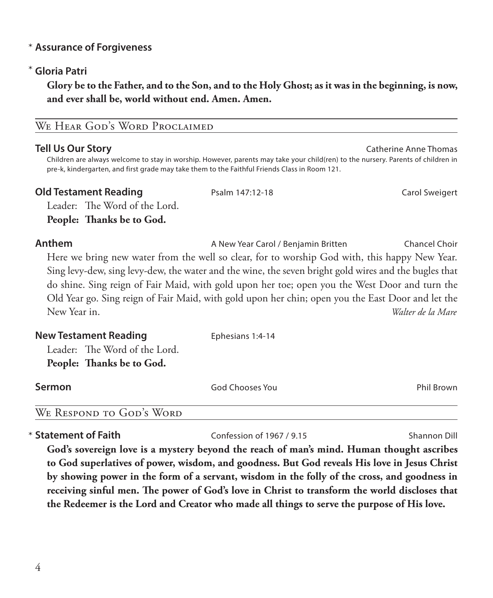# **Assurance of Forgiveness** \*

# **Gloria Patri** \*

 **Glory be to the Father, and to the Son, and to the Holy Ghost; as it was in the beginning, is now, and ever shall be, world without end. Amen. Amen.** 

# WE HEAR GOD'S WORD PROCLAIMED

**Tell Us Our Story** Catherine Anne Thomas Catherine Anne Thomas Catherine Anne Thomas Children are always welcome to stay in worship. However, parents may take your child(ren) to the nursery. Parents of children in pre-k, kindergarten, and first grade may take them to the Faithful Friends Class in Room 121.

### **Old Testament Reading** Psalm 147:12-18 Carol Sweigert

Leader: The Word of the Lord. **People: Thanks be to God.** 

## **Anthem** A New Year Carol / Benjamin Britten Chancel Choir

 Here we bring new water from the well so clear, for to worship God with, this happy New Year. Sing levy-dew, sing levy-dew, the water and the wine, the seven bright gold wires and the bugles that do shine. Sing reign of Fair Maid, with gold upon her toe; open you the West Door and turn the Old Year go. Sing reign of Fair Maid, with gold upon her chin; open you the East Door and let the New Year in. *Walter de la Mare*

| <b>New Testament Reading</b>  | Ephesians 1:4-14 |            |
|-------------------------------|------------------|------------|
| Leader: The Word of the Lord. |                  |            |
| People: Thanks be to God.     |                  |            |
| Sermon                        | God Chooses You  | Phil Brown |

WE RESPOND TO GOD'S WORD

\* Statement of Faith

**Confession of 1967 / 9.15** Shannon Dill

 **God's sovereign love is a mystery beyond the reach of man's mind. Human thought ascribes to God superlatives of power, wisdom, and goodness. But God reveals His love in Jesus Christ by showing power in the form of a servant, wisdom in the folly of the cross, and goodness in receiving sinful men. The power of God's love in Christ to transform the world discloses that the Redeemer is the Lord and Creator who made all things to serve the purpose of His love.**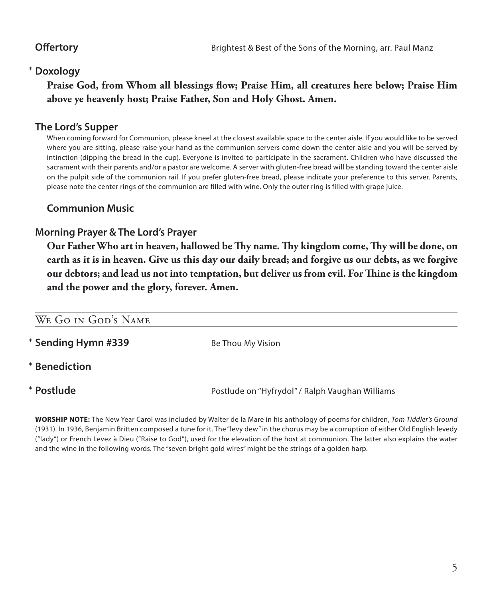# **Doxology** \*

 **Praise God, from Whom all blessings flow; Praise Him, all creatures here below; Praise Him above ye heavenly host; Praise Father, Son and Holy Ghost. Amen.**

# **The Lord's Supper**

 When coming forward for Communion, please kneel at the closest available space to the center aisle. If you would like to be served where you are sitting, please raise your hand as the communion servers come down the center aisle and you will be served by intinction (dipping the bread in the cup). Everyone is invited to participate in the sacrament. Children who have discussed the sacrament with their parents and/or a pastor are welcome. A server with gluten-free bread will be standing toward the center aisle on the pulpit side of the communion rail. If you prefer gluten-free bread, please indicate your preference to this server. Parents, please note the center rings of the communion are filled with wine. Only the outer ring is filled with grape juice.

# **Communion Music**

# **Morning Prayer & The Lord's Prayer**

 **Our Father Who art in heaven, hallowed be Thy name. Thy kingdom come, Thy will be done, on earth as it is in heaven. Give us this day our daily bread; and forgive us our debts, as we forgive our debtors; and lead us not into temptation, but deliver us from evil. For Thine is the kingdom and the power and the glory, forever. Amen.**

| WE GO IN GOD'S NAME |                                                 |
|---------------------|-------------------------------------------------|
| * Sending Hymn #339 | Be Thou My Vision                               |
| * Benediction       |                                                 |
| * Postlude          | Postlude on "Hyfrydol" / Ralph Vaughan Williams |
|                     |                                                 |

**WORSHIP NOTE:** The New Year Carol was included by Walter de la Mare in his anthology of poems for children, *Tom Tiddler's Ground*  (1931). In 1936, Benjamin Britten composed a tune for it. The "levy dew" in the chorus may be a corruption of either Old English levedy ("lady") or French Levez à Dieu ("Raise to God"), used for the elevation of the host at communion. The latter also explains the water and the wine in the following words. The "seven bright gold wires" might be the strings of a golden harp.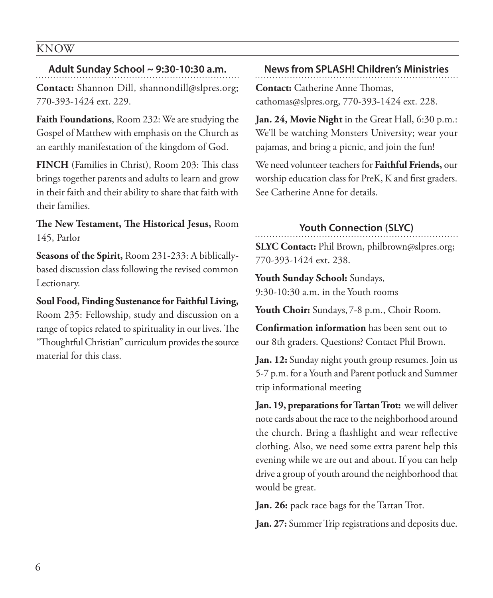## KNOW

#### **Adult Sunday School ~ 9:30-10:30 a.m.**

**Contact:** Shannon Dill, shannondill@slpres.org; 770-393-1424 ext. 229.

**Faith Foundations**, Room 232: We are studying the Gospel of Matthew with emphasis on the Church as an earthly manifestation of the kingdom of God.

**FINCH** (Families in Christ), Room 203: This class brings together parents and adults to learn and grow in their faith and their ability to share that faith with their families.

**The New Testament, The Historical Jesus,** Room 145, Parlor

**Seasons of the Spirit,** Room 231-233: A biblicallybased discussion class following the revised common Lectionary.

**Soul Food, Finding Sustenance for Faithful Living,** Room 235: Fellowship, study and discussion on a range of topics related to spirituality in our lives. The "Thoughtful Christian" curriculum provides the source material for this class.

#### **News from SPLASH! Children's Ministries**

**Contact:** Catherine Anne Thomas, cathomas@slpres.org, 770-393-1424 ext. 228.

**Jan. 24, Movie Night** in the Great Hall, 6:30 p.m.: We'll be watching Monsters University; wear your pajamas, and bring a picnic, and join the fun!

We need volunteer teachers for **Faithful Friends,** our worship education class for PreK, K and first graders. See Catherine Anne for details.

#### **Youth Connection (SLYC)**

**SLYC Contact:** Phil Brown, philbrown@slpres.org; 770-393-1424 ext. 238.

**Youth Sunday School:** Sundays, 9:30-10:30 a.m. in the Youth rooms

Youth Choir: Sundays, 7-8 p.m., Choir Room.

**Confirmation information** has been sent out to our 8th graders. Questions? Contact Phil Brown.

**Jan. 12:** Sunday night youth group resumes. Join us 5-7 p.m. for a Youth and Parent potluck and Summer trip informational meeting

**Jan. 19, preparations for Tartan Trot:** we will deliver note cards about the race to the neighborhood around the church. Bring a flashlight and wear reflective clothing. Also, we need some extra parent help this evening while we are out and about. If you can help drive a group of youth around the neighborhood that would be great.

**Jan. 26:** pack race bags for the Tartan Trot.

**Jan. 27:** Summer Trip registrations and deposits due.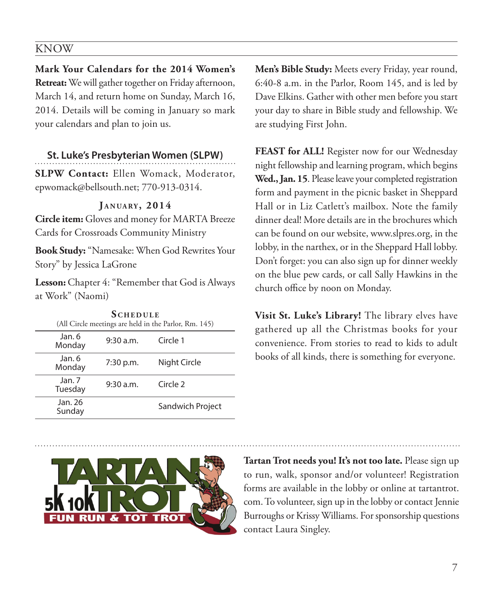### KNOW

**Mark Your Calendars for the 2014 Women's Retreat:** We will gather together on Friday afternoon, March 14, and return home on Sunday, March 16, 2014. Details will be coming in January so mark your calendars and plan to join us.

#### **St. Luke's Presbyterian Women (SLPW)**

**SLPW Contact:** Ellen Womack, Moderator, epwomack@bellsouth.net; 770-913-0314.

#### **J a n ua ry , 2014**

**Circle item:** Gloves and money for MARTA Breeze Cards for Crossroads Community Ministry

**Book Study:** "Namesake: When God Rewrites Your Story" by Jessica LaGrone

**Lesson:** Chapter 4: "Remember that God is Always at Work" (Naomi)

**SCHEDULE** 

|                   | .         | (All Circle meetings are held in the Parlor, Rm. 145) |
|-------------------|-----------|-------------------------------------------------------|
| Jan. 6<br>Monday  | 9:30 a.m. | Circle 1                                              |
| Jan. 6<br>Monday  | 7:30 p.m. | Night Circle                                          |
| Jan.7<br>Tuesday  | 9:30 a.m. | Circle 2                                              |
| Jan. 26<br>Sunday |           | Sandwich Project                                      |

**Men's Bible Study:** Meets every Friday, year round, 6:40-8 a.m. in the Parlor, Room 145, and is led by Dave Elkins. Gather with other men before you start your day to share in Bible study and fellowship. We are studying First John.

**FEAST for ALL!** Register now for our Wednesday night fellowship and learning program, which begins **Wed., Jan. 15**. Please leave your completed registration form and payment in the picnic basket in Sheppard Hall or in Liz Catlett's mailbox. Note the family dinner deal! More details are in the brochures which can be found on our website, www.slpres.org, in the lobby, in the narthex, or in the Sheppard Hall lobby. Don't forget: you can also sign up for dinner weekly on the blue pew cards, or call Sally Hawkins in the church office by noon on Monday.

**Visit St. Luke's Library!** The library elves have gathered up all the Christmas books for your convenience. From stories to read to kids to adult books of all kinds, there is something for everyone.



**Tartan Trot needs you! It's not too late.** Please sign up to run, walk, sponsor and/or volunteer! Registration forms are available in the lobby or online at tartantrot. com. To volunteer, sign up in the lobby or contact Jennie Burroughs or Krissy Williams. For sponsorship questions contact Laura Singley.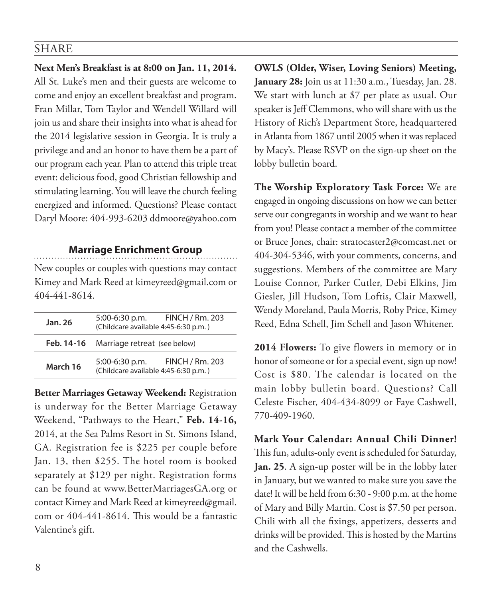# SHARE

**Next Men's Breakfast is at 8:00 on Jan. 11, 2014.**  All St. Luke's men and their guests are welcome to come and enjoy an excellent breakfast and program. Fran Millar, Tom Taylor and Wendell Willard will join us and share their insights into what is ahead for the 2014 legislative session in Georgia. It is truly a privilege and and an honor to have them be a part of our program each year. Plan to attend this triple treat event: delicious food, good Christian fellowship and stimulating learning. You will leave the church feeling energized and informed. Questions? Please contact Daryl Moore: 404-993-6203 ddmoore@yahoo.com

### **Marriage Enrichment Group**

New couples or couples with questions may contact Kimey and Mark Reed at kimeyreed@gmail.com or 404-441-8614.

| Jan. 26    | FINCH / Rm. 203<br>5:00-6:30 p.m.<br>(Childcare available 4:45-6:30 p.m.) |
|------------|---------------------------------------------------------------------------|
| Feb. 14-16 | Marriage retreat (see below)                                              |
| March 16   | FINCH / Rm. 203<br>5:00-6:30 p.m.<br>(Childcare available 4:45-6:30 p.m.) |

**Better Marriages Getaway Weekend:** Registration is underway for the Better Marriage Getaway Weekend, "Pathways to the Heart," **Feb. 14-16,** 2014, at the Sea Palms Resort in St. Simons Island, GA. Registration fee is \$225 per couple before Jan. 13, then \$255. The hotel room is booked separately at \$129 per night. Registration forms can be found at www.BetterMarriagesGA.org or contact Kimey and Mark Reed at kimeyreed@gmail. com or 404-441-8614. This would be a fantastic Valentine's gift.

**OWLS (Older, Wiser, Loving Seniors) Meeting, January 28:** Join us at 11:30 a.m., Tuesday, Jan. 28. We start with lunch at \$7 per plate as usual. Our speaker is Jeff Clemmons, who will share with us the History of Rich's Department Store, headquartered in Atlanta from 1867 until 2005 when it was replaced by Macy's. Please RSVP on the sign-up sheet on the lobby bulletin board.

**The Worship Exploratory Task Force:** We are engaged in ongoing discussions on how we can better serve our congregants in worship and we want to hear from you! Please contact a member of the committee or Bruce Jones, chair: stratocaster2@comcast.net or 404-304-5346, with your comments, concerns, and suggestions. Members of the committee are Mary Louise Connor, Parker Cutler, Debi Elkins, Jim Giesler, Jill Hudson, Tom Loftis, Clair Maxwell, Wendy Moreland, Paula Morris, Roby Price, Kimey Reed, Edna Schell, Jim Schell and Jason Whitener.

**2014 Flowers:** To give flowers in memory or in honor of someone or for a special event, sign up now! Cost is \$80. The calendar is located on the main lobby bulletin board. Questions? Call Celeste Fischer, 404-434-8099 or Faye Cashwell, 770-409-1960.

**Mark Your Calendar: Annual Chili Dinner!** This fun, adults-only event is scheduled for Saturday, **Jan. 25**. A sign-up poster will be in the lobby later in January, but we wanted to make sure you save the date! It will be held from 6:30 - 9:00 p.m. at the home of Mary and Billy Martin. Cost is \$7.50 per person. Chili with all the fixings, appetizers, desserts and drinks will be provided. This is hosted by the Martins and the Cashwells.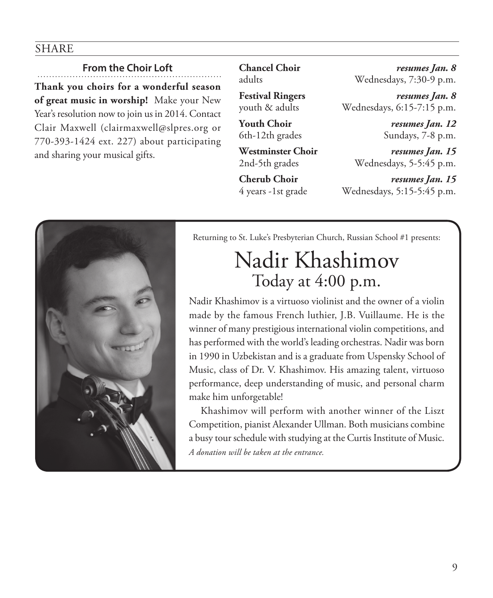# SHARE

# **From the Choir Loft**

**Thank you choirs for a wonderful season of great music in worship!** Make your New Year's resolution now to join us in 2014. Contact Clair Maxwell (clairmaxwell@slpres.org or 770-393-1424 ext. 227) about participating and sharing your musical gifts.

**Chancel Choir** *resumes Jan. 8* adults Wednesdays, 7:30-9 p.m.

**Festival Ringers** *resumes Jan. 8* youth & adults Wednesdays, 6:15-7:15 p.m.

**Youth Choir** *resumes Jan. 12* 6th-12th grades Sundays, 7-8 p.m.

**Westminster Choir** *resumes Jan. 15* 2nd-5th grades Wednesdays, 5-5:45 p.m.

**Cherub Choir** *resumes Jan. 15* 4 years -1st grade Wednesdays, 5:15-5:45 p.m.



Returning to St. Luke's Presbyterian Church, Russian School #1 presents:

# Nadir Khashimov Today at 4:00 p.m.

Nadir Khashimov is a virtuoso violinist and the owner of a violin made by the famous French luthier, J.B. Vuillaume. He is the winner of many prestigious international violin competitions, and has performed with the world's leading orchestras. Nadir was born in 1990 in Uzbekistan and is a graduate from Uspensky School of Music, class of Dr. V. Khashimov. His amazing talent, virtuoso performance, deep understanding of music, and personal charm make him unforgetable!

Khashimov will perform with another winner of the Liszt Competition, pianist Alexander Ullman. Both musicians combine a busy tour schedule with studying at the Curtis Institute of Music. *A donation will be taken at the entrance.*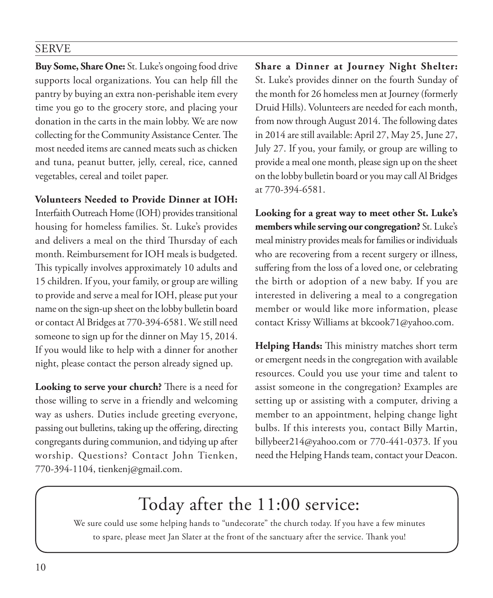# SERVE

**Buy Some, Share One:** St. Luke's ongoing food drive supports local organizations. You can help fill the pantry by buying an extra non-perishable item every time you go to the grocery store, and placing your donation in the carts in the main lobby. We are now collecting for the Community Assistance Center. The most needed items are canned meats such as chicken and tuna, peanut butter, jelly, cereal, rice, canned vegetables, cereal and toilet paper.

**Volunteers Needed to Provide Dinner at IOH:** 

Interfaith Outreach Home (IOH) provides transitional housing for homeless families. St. Luke's provides and delivers a meal on the third Thursday of each month. Reimbursement for IOH meals is budgeted. This typically involves approximately 10 adults and 15 children. If you, your family, or group are willing to provide and serve a meal for IOH, please put your name on the sign-up sheet on the lobby bulletin board or contact Al Bridges at 770-394-6581. We still need someone to sign up for the dinner on May 15, 2014. If you would like to help with a dinner for another night, please contact the person already signed up.

**Looking to serve your church?** There is a need for those willing to serve in a friendly and welcoming way as ushers. Duties include greeting everyone, passing out bulletins, taking up the offering, directing congregants during communion, and tidying up after worship. Questions? Contact John Tienken, 770-394-1104, tienkenj@gmail.com.

**Share a Dinner at Journey Night Shelter:** St. Luke's provides dinner on the fourth Sunday of the month for 26 homeless men at Journey (formerly Druid Hills). Volunteers are needed for each month, from now through August 2014. The following dates in 2014 are still available: April 27, May 25, June 27, July 27. If you, your family, or group are willing to provide a meal one month, please sign up on the sheet on the lobby bulletin board or you may call Al Bridges at 770-394-6581.

**Looking for a great way to meet other St. Luke's members while serving our congregation?** St. Luke's meal ministry provides meals for families or individuals who are recovering from a recent surgery or illness, suffering from the loss of a loved one, or celebrating the birth or adoption of a new baby. If you are interested in delivering a meal to a congregation member or would like more information, please contact Krissy Williams at bkcook71@yahoo.com.

**Helping Hands:** This ministry matches short term or emergent needs in the congregation with available resources. Could you use your time and talent to assist someone in the congregation? Examples are setting up or assisting with a computer, driving a member to an appointment, helping change light bulbs. If this interests you, contact Billy Martin, billybeer214@yahoo.com or 770-441-0373. If you need the Helping Hands team, contact your Deacon.

# Today after the 11:00 service:

We sure could use some helping hands to "undecorate" the church today. If you have a few minutes to spare, please meet Jan Slater at the front of the sanctuary after the service. Thank you!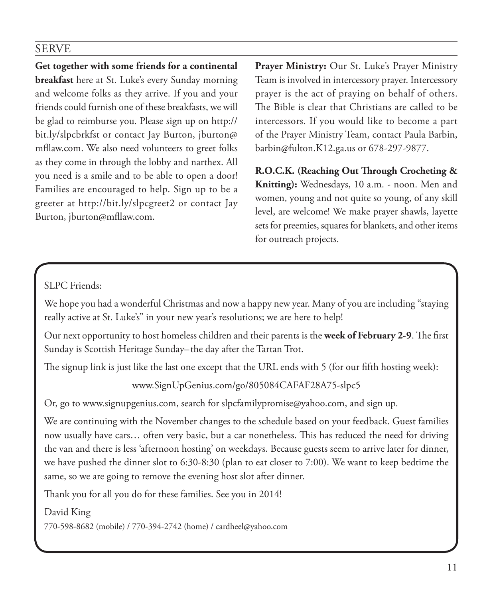# SERVE

**Get together with some friends for a continental breakfast** here at St. Luke's every Sunday morning and welcome folks as they arrive. If you and your friends could furnish one of these breakfasts, we will be glad to reimburse you. Please sign up on http:// bit.ly/slpcbrkfst or contact Jay Burton, jburton@ mfllaw.com. We also need volunteers to greet folks as they come in through the lobby and narthex. All you need is a smile and to be able to open a door! Families are encouraged to help. Sign up to be a greeter at http://bit.ly/slpcgreet2 or contact Jay Burton, jburton@mfllaw.com.

**Prayer Ministry:** Our St. Luke's Prayer Ministry Team is involved in intercessory prayer. Intercessory prayer is the act of praying on behalf of others. The Bible is clear that Christians are called to be intercessors. If you would like to become a part of the Prayer Ministry Team, contact Paula Barbin, barbin@fulton.K12.ga.us or 678-297-9877.

**R.O.C.K. (Reaching Out Through Crocheting & Knitting):** Wednesdays, 10 a.m. - noon. Men and women, young and not quite so young, of any skill level, are welcome! We make prayer shawls, layette sets for preemies, squares for blankets, and other items for outreach projects.

# SLPC Friends:

We hope you had a wonderful Christmas and now a happy new year. Many of you are including "staying really active at St. Luke's" in your new year's resolutions; we are here to help!

Our next opportunity to host homeless children and their parents is the **week of February 2-9**. The first Sunday is Scottish Heritage Sunday–the day after the Tartan Trot.

The signup link is just like the last one except that the URL ends with 5 (for our fifth hosting week):

www.SignUpGenius.com/go/805084CAFAF28A75-slpc5

Or, go to www.signupgenius.com, search for slpcfamilypromise@yahoo.com, and sign up.

We are continuing with the November changes to the schedule based on your feedback. Guest families now usually have cars… often very basic, but a car nonetheless. This has reduced the need for driving the van and there is less 'afternoon hosting' on weekdays. Because guests seem to arrive later for dinner, we have pushed the dinner slot to 6:30-8:30 (plan to eat closer to 7:00). We want to keep bedtime the same, so we are going to remove the evening host slot after dinner.

Thank you for all you do for these families. See you in 2014!

### David King

770-598-8682 (mobile) / 770-394-2742 (home) / cardheel@yahoo.com